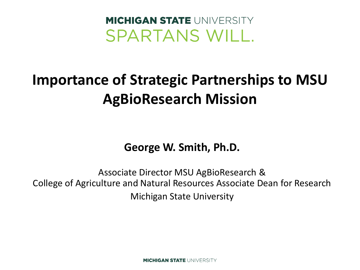#### **MICHIGAN STATE UNIVERSITY** SPARTANS WILL.

#### **Importance of Strategic Partnerships to MSU AgBioResearch Mission**

#### **George W. Smith, Ph.D.**

Associate Director MSU AgBioResearch & College of Agriculture and Natural Resources Associate Dean for Research Michigan State University

**MICHIGAN STATE UNIVERSITY**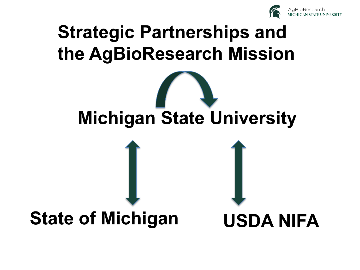

#### **Strategic Partnerships and the AgBioResearch Mission**

# **Michigan State University**

#### **State of Michigan**

**USDA NIFA**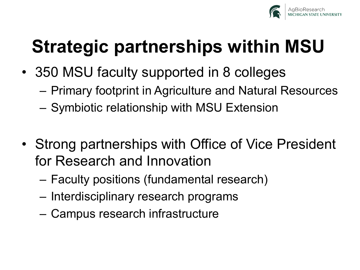

# **Strategic partnerships within MSU**

- 350 MSU faculty supported in 8 colleges
	- Primary footprint in Agriculture and Natural Resources
	- Symbiotic relationship with MSU Extension
- Strong partnerships with Office of Vice President for Research and Innovation
	- Faculty positions (fundamental research)
	- Interdisciplinary research programs
	- Campus research infrastructure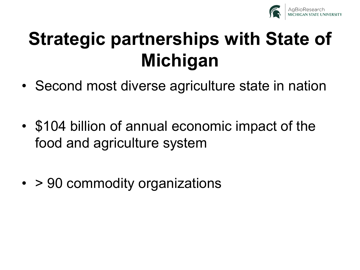

- Second most diverse agriculture state in nation
- \$104 billion of annual economic impact of the food and agriculture system
- > 90 commodity organizations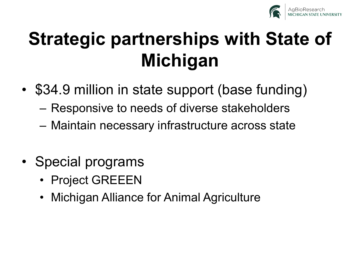

- \$34.9 million in state support (base funding)
	- Responsive to needs of diverse stakeholders
	- Maintain necessary infrastructure across state
- Special programs
	- Project GREEEN
	- Michigan Alliance for Animal Agriculture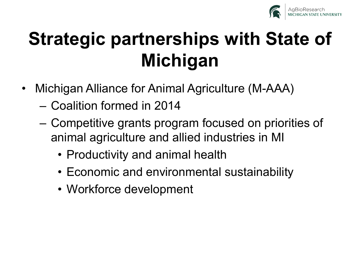

- Michigan Alliance for Animal Agriculture (M-AAA)
	- Coalition formed in 2014
	- Competitive grants program focused on priorities of animal agriculture and allied industries in MI
		- Productivity and animal health
		- Economic and environmental sustainability
		- Workforce development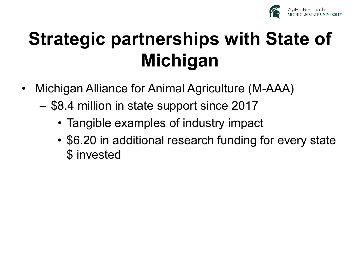

- Michigan Alliance for Animal Agriculture (M-AAA)
	- \$8.4 million in state support since 2017
		- Tangible examples of industry impact
		- \$6.20 in additional research funding for every state \$ invested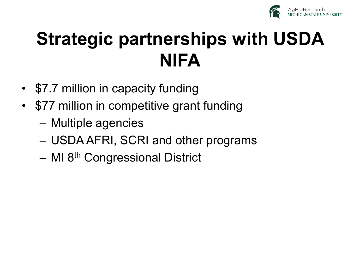

# **Strategic partnerships with USDA NIFA**

- \$7.7 million in capacity funding
- \$77 million in competitive grant funding
	- Multiple agencies
	- USDA AFRI, SCRI and other programs
	- MI 8<sup>th</sup> Congressional District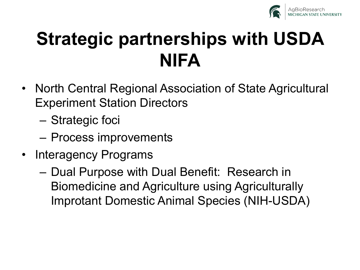

### **Strategic partnerships with USDA NIFA**

- North Central Regional Association of State Agricultural Experiment Station Directors
	- Strategic foci
	- Process improvements
- Interagency Programs
	- Dual Purpose with Dual Benefit: Research in Biomedicine and Agriculture using Agriculturally Improtant Domestic Animal Species (NIH-USDA)